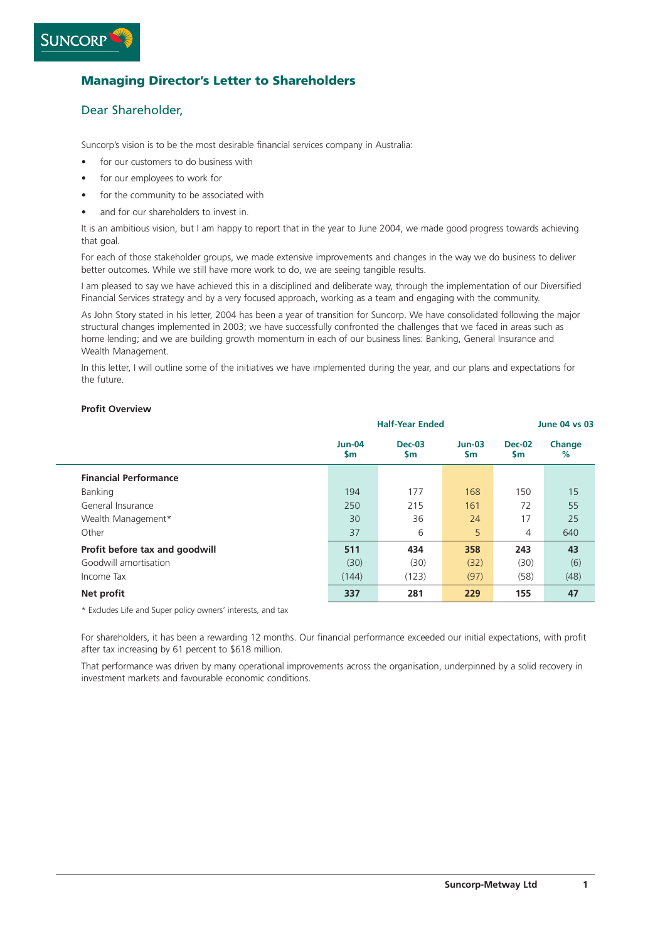# **Managing Director's Letter to Shareholders**

# Dear Shareholder,

Suncorp's vision is to be the most desirable financial services company in Australia:

- for our customers to do business with
- for our employees to work for
- for the community to be associated with
- and for our shareholders to invest in.

It is an ambitious vision, but I am happy to report that in the year to June 2004, we made good progress towards achieving that goal.

For each of those stakeholder groups, we made extensive improvements and changes in the way we do business to deliver better outcomes. While we still have more work to do, we are seeing tangible results.

I am pleased to say we have achieved this in a disciplined and deliberate way, through the implementation of our Diversified Financial Services strategy and by a very focused approach, working as a team and engaging with the community.

As John Story stated in his letter, 2004 has been a year of transition for Suncorp. We have consolidated following the major structural changes implemented in 2003; we have successfully confronted the challenges that we faced in areas such as home lending; and we are building growth momentum in each of our business lines: Banking, General Insurance and Wealth Management.

In this letter, I will outline some of the initiatives we have implemented during the year, and our plans and expectations for the future.

#### **Profit Overview**

|                                | <b>Half-Year Ended</b> |                 |                 | <b>June 04 vs 03</b> |             |  |
|--------------------------------|------------------------|-----------------|-----------------|----------------------|-------------|--|
|                                | $Jun-04$<br>\$m        | $Dec-03$<br>\$m | $Jun-03$<br>\$m | <b>Dec-02</b><br>\$m | Change<br>% |  |
| <b>Financial Performance</b>   |                        |                 |                 |                      |             |  |
| Banking                        | 194                    | 177             | 168             | 150                  | 15          |  |
| General Insurance              | 250                    | 215             | 161             | 72                   | 55          |  |
| Wealth Management*             | 30                     | 36              | 24              | 17                   | 25          |  |
| Other                          | 37                     | 6               | 5               | 4                    | 640         |  |
| Profit before tax and goodwill | 511                    | 434             | 358             | 243                  | 43          |  |
| Goodwill amortisation          | (30)                   | (30)            | (32)            | (30)                 | (6)         |  |
| Income Tax                     | (144)                  | (123)           | (97)            | (58)                 | (48)        |  |
| Net profit                     | 337                    | 281             | 229             | 155                  | 47          |  |

\* Excludes Life and Super policy owners' interests, and tax

For shareholders, it has been a rewarding 12 months. Our financial performance exceeded our initial expectations, with profit after tax increasing by 61 percent to \$618 million.

That performance was driven by many operational improvements across the organisation, underpinned by a solid recovery in investment markets and favourable economic conditions.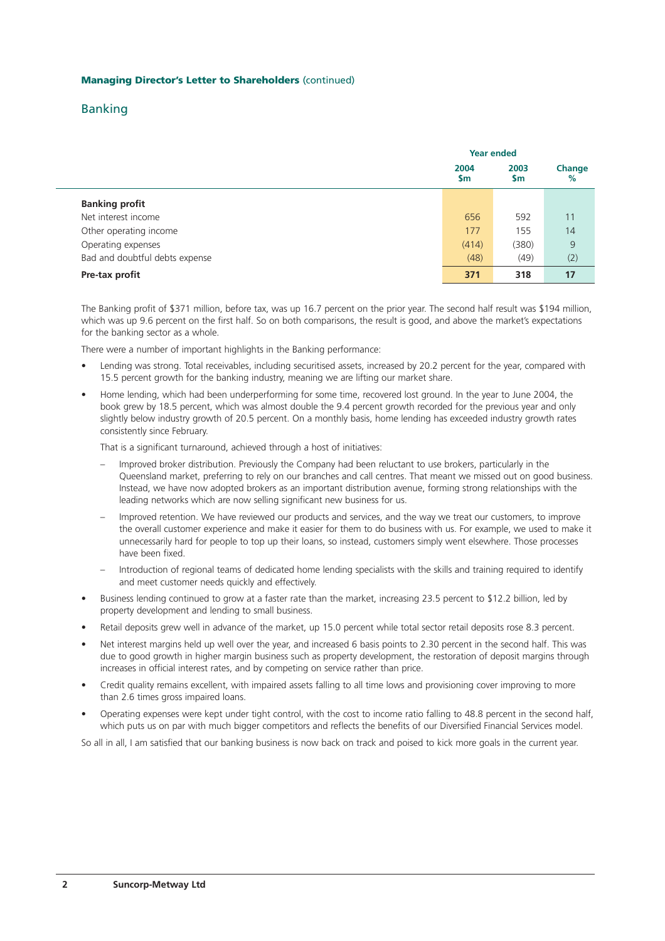# Banking

|                                | <b>Year ended</b> |                   |             |
|--------------------------------|-------------------|-------------------|-------------|
|                                | 2004<br>\$m       | 2003<br><b>Sm</b> | Change<br>% |
| <b>Banking profit</b>          |                   |                   |             |
| Net interest income            | 656               | 592               | 11          |
| Other operating income         | 177               | 155               | 14          |
| Operating expenses             | (414)             | (380)             | 9           |
| Bad and doubtful debts expense | (48)              | (49)              | (2)         |
| Pre-tax profit                 | 371               | 318               | 17          |

The Banking profit of \$371 million, before tax, was up 16.7 percent on the prior year. The second half result was \$194 million, which was up 9.6 percent on the first half. So on both comparisons, the result is good, and above the market's expectations for the banking sector as a whole.

There were a number of important highlights in the Banking performance:

- Lending was strong. Total receivables, including securitised assets, increased by 20.2 percent for the year, compared with 15.5 percent growth for the banking industry, meaning we are lifting our market share.
- Home lending, which had been underperforming for some time, recovered lost ground. In the year to June 2004, the book grew by 18.5 percent, which was almost double the 9.4 percent growth recorded for the previous year and only slightly below industry growth of 20.5 percent. On a monthly basis, home lending has exceeded industry growth rates consistently since February.

That is a significant turnaround, achieved through a host of initiatives:

- Improved broker distribution. Previously the Company had been reluctant to use brokers, particularly in the Queensland market, preferring to rely on our branches and call centres. That meant we missed out on good business. Instead, we have now adopted brokers as an important distribution avenue, forming strong relationships with the leading networks which are now selling significant new business for us.
- Improved retention. We have reviewed our products and services, and the way we treat our customers, to improve the overall customer experience and make it easier for them to do business with us. For example, we used to make it unnecessarily hard for people to top up their loans, so instead, customers simply went elsewhere. Those processes have been fixed.
- Introduction of regional teams of dedicated home lending specialists with the skills and training required to identify and meet customer needs quickly and effectively.
- Business lending continued to grow at a faster rate than the market, increasing 23.5 percent to \$12.2 billion, led by property development and lending to small business.
- Retail deposits grew well in advance of the market, up 15.0 percent while total sector retail deposits rose 8.3 percent.
- Net interest margins held up well over the year, and increased 6 basis points to 2.30 percent in the second half. This was due to good growth in higher margin business such as property development, the restoration of deposit margins through increases in official interest rates, and by competing on service rather than price.
- Credit quality remains excellent, with impaired assets falling to all time lows and provisioning cover improving to more than 2.6 times gross impaired loans.
- Operating expenses were kept under tight control, with the cost to income ratio falling to 48.8 percent in the second half, which puts us on par with much bigger competitors and reflects the benefits of our Diversified Financial Services model.

So all in all, I am satisfied that our banking business is now back on track and poised to kick more goals in the current year.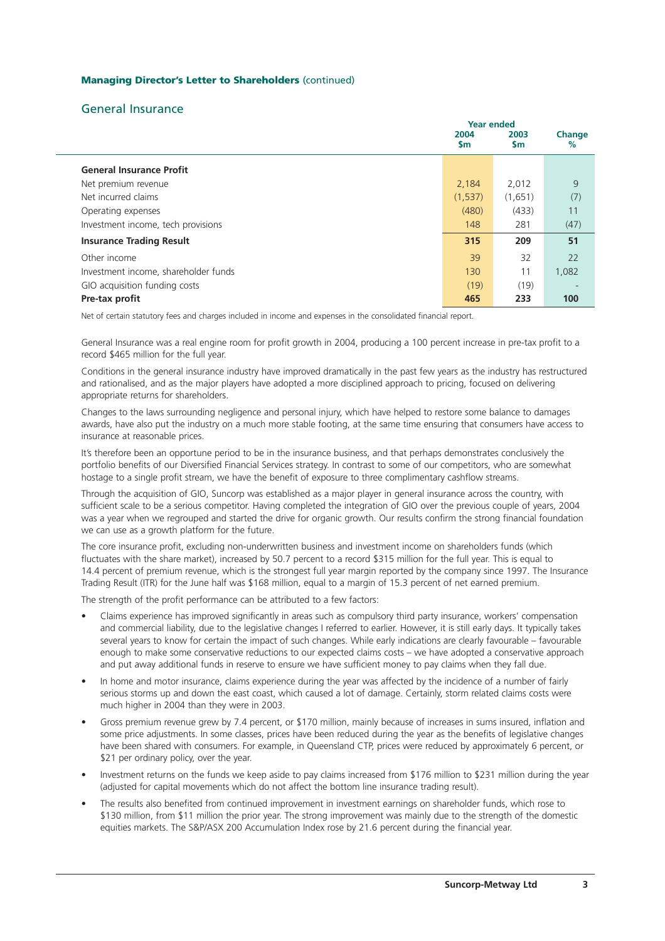## General Insurance

|                                      | <b>Year ended</b>     |                   |             |
|--------------------------------------|-----------------------|-------------------|-------------|
|                                      | 2004<br>$\mathsf{sm}$ | 2003<br><b>Sm</b> | Change<br>% |
| <b>General Insurance Profit</b>      |                       |                   |             |
| Net premium revenue                  | 2,184                 | 2,012             | 9           |
| Net incurred claims                  | (1,537)               | (1,651)           | (7)         |
| Operating expenses                   | (480)                 | (433)             | 11          |
| Investment income, tech provisions   | 148                   | 281               | (47)        |
| <b>Insurance Trading Result</b>      | 315                   | 209               | 51          |
| Other income                         | 39                    | 32                | 22          |
| Investment income, shareholder funds | 130                   | 11                | 1,082       |
| GIO acquisition funding costs        | (19)                  | (19)              |             |
| Pre-tax profit                       | 465                   | 233               | 100         |

Net of certain statutory fees and charges included in income and expenses in the consolidated financial report.

General Insurance was a real engine room for profit growth in 2004, producing a 100 percent increase in pre-tax profit to a record \$465 million for the full year.

Conditions in the general insurance industry have improved dramatically in the past few years as the industry has restructured and rationalised, and as the major players have adopted a more disciplined approach to pricing, focused on delivering appropriate returns for shareholders.

Changes to the laws surrounding negligence and personal injury, which have helped to restore some balance to damages awards, have also put the industry on a much more stable footing, at the same time ensuring that consumers have access to insurance at reasonable prices.

It's therefore been an opportune period to be in the insurance business, and that perhaps demonstrates conclusively the portfolio benefits of our Diversified Financial Services strategy. In contrast to some of our competitors, who are somewhat hostage to a single profit stream, we have the benefit of exposure to three complimentary cashflow streams.

Through the acquisition of GIO, Suncorp was established as a major player in general insurance across the country, with sufficient scale to be a serious competitor. Having completed the integration of GIO over the previous couple of years, 2004 was a year when we regrouped and started the drive for organic growth. Our results confirm the strong financial foundation we can use as a growth platform for the future.

The core insurance profit, excluding non-underwritten business and investment income on shareholders funds (which fluctuates with the share market), increased by 50.7 percent to a record \$315 million for the full year. This is equal to 14.4 percent of premium revenue, which is the strongest full year margin reported by the company since 1997. The Insurance Trading Result (ITR) for the June half was \$168 million, equal to a margin of 15.3 percent of net earned premium.

The strength of the profit performance can be attributed to a few factors:

- Claims experience has improved significantly in areas such as compulsory third party insurance, workers' compensation and commercial liability, due to the legislative changes I referred to earlier. However, it is still early days. It typically takes several years to know for certain the impact of such changes. While early indications are clearly favourable – favourable enough to make some conservative reductions to our expected claims costs – we have adopted a conservative approach and put away additional funds in reserve to ensure we have sufficient money to pay claims when they fall due.
- In home and motor insurance, claims experience during the year was affected by the incidence of a number of fairly serious storms up and down the east coast, which caused a lot of damage. Certainly, storm related claims costs were much higher in 2004 than they were in 2003.
- Gross premium revenue grew by 7.4 percent, or \$170 million, mainly because of increases in sums insured, inflation and some price adjustments. In some classes, prices have been reduced during the year as the benefits of legislative changes have been shared with consumers. For example, in Queensland CTP, prices were reduced by approximately 6 percent, or \$21 per ordinary policy, over the year.
- Investment returns on the funds we keep aside to pay claims increased from \$176 million to \$231 million during the year (adjusted for capital movements which do not affect the bottom line insurance trading result).
- The results also benefited from continued improvement in investment earnings on shareholder funds, which rose to \$130 million, from \$11 million the prior year. The strong improvement was mainly due to the strength of the domestic equities markets. The S&P/ASX 200 Accumulation Index rose by 21.6 percent during the financial year.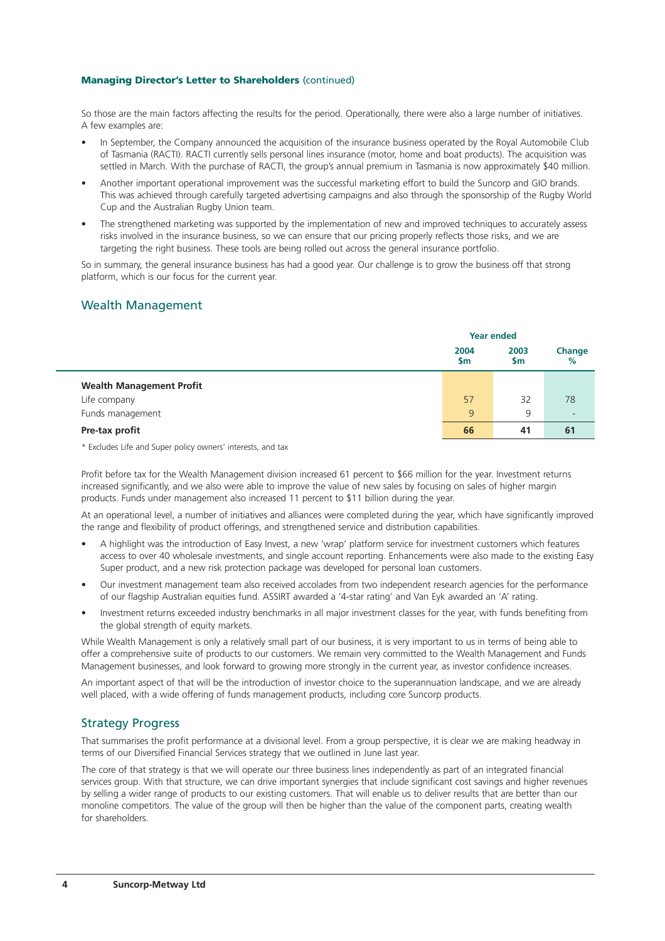So those are the main factors affecting the results for the period. Operationally, there were also a large number of initiatives. A few examples are:

- In September, the Company announced the acquisition of the insurance business operated by the Royal Automobile Club of Tasmania (RACTI). RACTI currently sells personal lines insurance (motor, home and boat products). The acquisition was settled in March. With the purchase of RACTI, the group's annual premium in Tasmania is now approximately \$40 million.
- Another important operational improvement was the successful marketing effort to build the Suncorp and GIO brands. This was achieved through carefully targeted advertising campaigns and also through the sponsorship of the Rugby World Cup and the Australian Rugby Union team.
- The strengthened marketing was supported by the implementation of new and improved techniques to accurately assess risks involved in the insurance business, so we can ensure that our pricing properly reflects those risks, and we are targeting the right business. These tools are being rolled out across the general insurance portfolio.

So in summary, the general insurance business has had a good year. Our challenge is to grow the business off that strong platform, which is our focus for the current year.

## Wealth Management

|                                 | <b>Year ended</b> |             |                          |
|---------------------------------|-------------------|-------------|--------------------------|
|                                 | 2004<br>\$m       | 2003<br>\$m | Change<br>%              |
| <b>Wealth Management Profit</b> |                   |             |                          |
| Life company                    | 57                | 32          | 78                       |
| Funds management                | 9                 | 9           | $\overline{\phantom{a}}$ |
| Pre-tax profit                  | 66                | 41          | 61                       |

\* Excludes Life and Super policy owners' interests, and tax

Profit before tax for the Wealth Management division increased 61 percent to \$66 million for the year. Investment returns increased significantly, and we also were able to improve the value of new sales by focusing on sales of higher margin products. Funds under management also increased 11 percent to \$11 billion during the year.

At an operational level, a number of initiatives and alliances were completed during the year, which have significantly improved the range and flexibility of product offerings, and strengthened service and distribution capabilities.

- A highlight was the introduction of Easy Invest, a new 'wrap' platform service for investment customers which features access to over 40 wholesale investments, and single account reporting. Enhancements were also made to the existing Easy Super product, and a new risk protection package was developed for personal loan customers.
- Our investment management team also received accolades from two independent research agencies for the performance of our flagship Australian equities fund. ASSIRT awarded a '4-star rating' and Van Eyk awarded an 'A' rating.
- Investment returns exceeded industry benchmarks in all major investment classes for the year, with funds benefiting from the global strength of equity markets.

While Wealth Management is only a relatively small part of our business, it is very important to us in terms of being able to offer a comprehensive suite of products to our customers. We remain very committed to the Wealth Management and Funds Management businesses, and look forward to growing more strongly in the current year, as investor confidence increases.

An important aspect of that will be the introduction of investor choice to the superannuation landscape, and we are already well placed, with a wide offering of funds management products, including core Suncorp products.

## Strategy Progress

That summarises the profit performance at a divisional level. From a group perspective, it is clear we are making headway in terms of our Diversified Financial Services strategy that we outlined in June last year.

The core of that strategy is that we will operate our three business lines independently as part of an integrated financial services group. With that structure, we can drive important synergies that include significant cost savings and higher revenues by selling a wider range of products to our existing customers. That will enable us to deliver results that are better than our monoline competitors. The value of the group will then be higher than the value of the component parts, creating wealth for shareholders.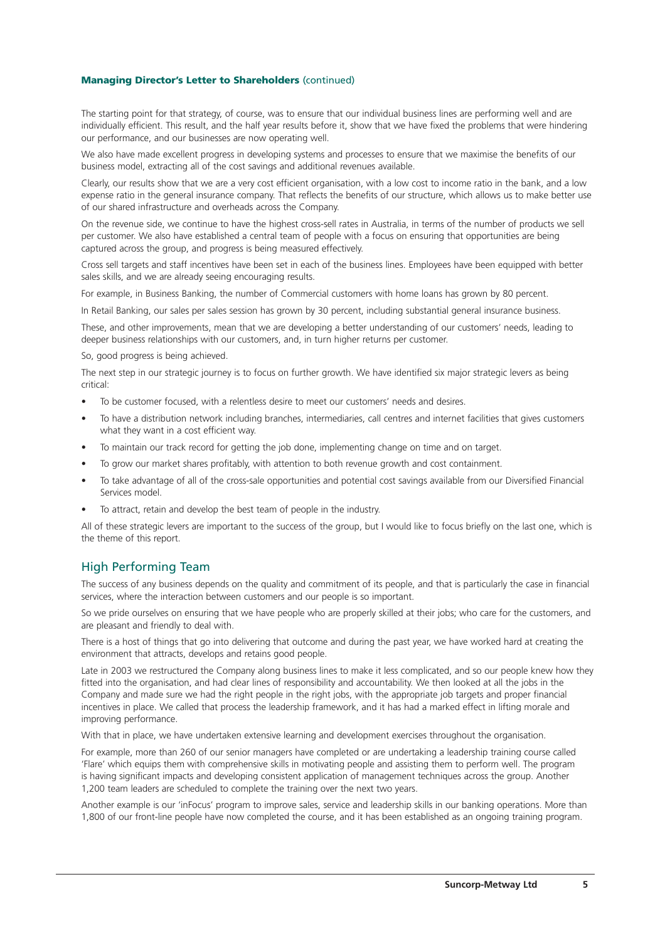The starting point for that strategy, of course, was to ensure that our individual business lines are performing well and are individually efficient. This result, and the half year results before it, show that we have fixed the problems that were hindering our performance, and our businesses are now operating well.

We also have made excellent progress in developing systems and processes to ensure that we maximise the benefits of our business model, extracting all of the cost savings and additional revenues available.

Clearly, our results show that we are a very cost efficient organisation, with a low cost to income ratio in the bank, and a low expense ratio in the general insurance company. That reflects the benefits of our structure, which allows us to make better use of our shared infrastructure and overheads across the Company.

On the revenue side, we continue to have the highest cross-sell rates in Australia, in terms of the number of products we sell per customer. We also have established a central team of people with a focus on ensuring that opportunities are being captured across the group, and progress is being measured effectively.

Cross sell targets and staff incentives have been set in each of the business lines. Employees have been equipped with better sales skills, and we are already seeing encouraging results.

For example, in Business Banking, the number of Commercial customers with home loans has grown by 80 percent.

In Retail Banking, our sales per sales session has grown by 30 percent, including substantial general insurance business.

These, and other improvements, mean that we are developing a better understanding of our customers' needs, leading to deeper business relationships with our customers, and, in turn higher returns per customer.

So, good progress is being achieved.

The next step in our strategic journey is to focus on further growth. We have identified six major strategic levers as being critical:

- To be customer focused, with a relentless desire to meet our customers' needs and desires.
- To have a distribution network including branches, intermediaries, call centres and internet facilities that gives customers what they want in a cost efficient way.
- To maintain our track record for getting the job done, implementing change on time and on target.
- To grow our market shares profitably, with attention to both revenue growth and cost containment.
- To take advantage of all of the cross-sale opportunities and potential cost savings available from our Diversified Financial Services model.
- To attract, retain and develop the best team of people in the industry.

All of these strategic levers are important to the success of the group, but I would like to focus briefly on the last one, which is the theme of this report.

## High Performing Team

The success of any business depends on the quality and commitment of its people, and that is particularly the case in financial services, where the interaction between customers and our people is so important.

So we pride ourselves on ensuring that we have people who are properly skilled at their jobs; who care for the customers, and are pleasant and friendly to deal with.

There is a host of things that go into delivering that outcome and during the past year, we have worked hard at creating the environment that attracts, develops and retains good people.

Late in 2003 we restructured the Company along business lines to make it less complicated, and so our people knew how they fitted into the organisation, and had clear lines of responsibility and accountability. We then looked at all the jobs in the Company and made sure we had the right people in the right jobs, with the appropriate job targets and proper financial incentives in place. We called that process the leadership framework, and it has had a marked effect in lifting morale and improving performance.

With that in place, we have undertaken extensive learning and development exercises throughout the organisation.

For example, more than 260 of our senior managers have completed or are undertaking a leadership training course called 'Flare' which equips them with comprehensive skills in motivating people and assisting them to perform well. The program is having significant impacts and developing consistent application of management techniques across the group. Another 1,200 team leaders are scheduled to complete the training over the next two years.

Another example is our 'inFocus' program to improve sales, service and leadership skills in our banking operations. More than 1,800 of our front-line people have now completed the course, and it has been established as an ongoing training program.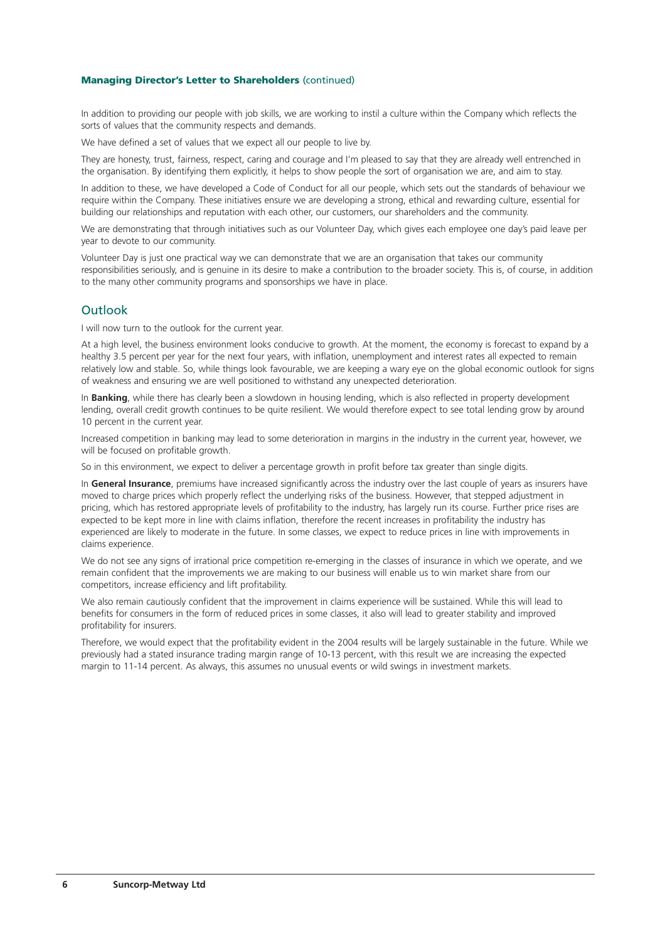In addition to providing our people with job skills, we are working to instil a culture within the Company which reflects the sorts of values that the community respects and demands.

We have defined a set of values that we expect all our people to live by.

They are honesty, trust, fairness, respect, caring and courage and I'm pleased to say that they are already well entrenched in the organisation. By identifying them explicitly, it helps to show people the sort of organisation we are, and aim to stay.

In addition to these, we have developed a Code of Conduct for all our people, which sets out the standards of behaviour we require within the Company. These initiatives ensure we are developing a strong, ethical and rewarding culture, essential for building our relationships and reputation with each other, our customers, our shareholders and the community.

We are demonstrating that through initiatives such as our Volunteer Day, which gives each employee one day's paid leave per year to devote to our community.

Volunteer Day is just one practical way we can demonstrate that we are an organisation that takes our community responsibilities seriously, and is genuine in its desire to make a contribution to the broader society. This is, of course, in addition to the many other community programs and sponsorships we have in place.

### Outlook

I will now turn to the outlook for the current year.

At a high level, the business environment looks conducive to growth. At the moment, the economy is forecast to expand by a healthy 3.5 percent per year for the next four years, with inflation, unemployment and interest rates all expected to remain relatively low and stable. So, while things look favourable, we are keeping a wary eye on the global economic outlook for signs of weakness and ensuring we are well positioned to withstand any unexpected deterioration.

In **Banking**, while there has clearly been a slowdown in housing lending, which is also reflected in property development lending, overall credit growth continues to be quite resilient. We would therefore expect to see total lending grow by around 10 percent in the current year.

Increased competition in banking may lead to some deterioration in margins in the industry in the current year, however, we will be focused on profitable growth.

So in this environment, we expect to deliver a percentage growth in profit before tax greater than single digits.

In **General Insurance**, premiums have increased significantly across the industry over the last couple of years as insurers have moved to charge prices which properly reflect the underlying risks of the business. However, that stepped adjustment in pricing, which has restored appropriate levels of profitability to the industry, has largely run its course. Further price rises are expected to be kept more in line with claims inflation, therefore the recent increases in profitability the industry has experienced are likely to moderate in the future. In some classes, we expect to reduce prices in line with improvements in claims experience.

We do not see any signs of irrational price competition re-emerging in the classes of insurance in which we operate, and we remain confident that the improvements we are making to our business will enable us to win market share from our competitors, increase efficiency and lift profitability.

We also remain cautiously confident that the improvement in claims experience will be sustained. While this will lead to benefits for consumers in the form of reduced prices in some classes, it also will lead to greater stability and improved profitability for insurers.

Therefore, we would expect that the profitability evident in the 2004 results will be largely sustainable in the future. While we previously had a stated insurance trading margin range of 10-13 percent, with this result we are increasing the expected margin to 11-14 percent. As always, this assumes no unusual events or wild swings in investment markets.